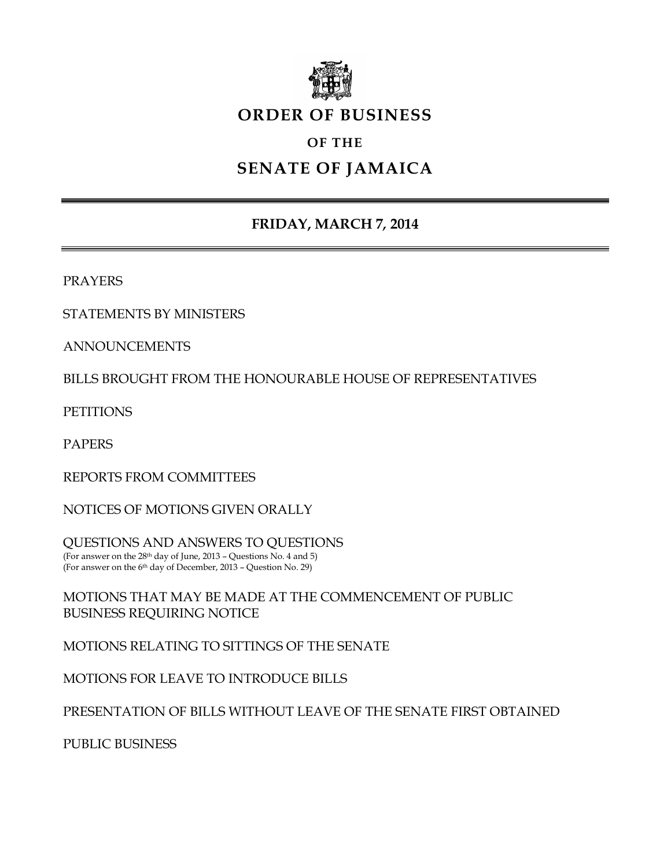

# **ORDER OF BUSINESS**

# **OF THE**

# **SENATE OF JAMAICA**

# **FRIDAY, MARCH 7***,* **2014**

PRAYERS

STATEMENTS BY MINISTERS

ANNOUNCEMENTS

BILLS BROUGHT FROM THE HONOURABLE HOUSE OF REPRESENTATIVES

**PETITIONS** 

PAPERS

REPORTS FROM COMMITTEES

NOTICES OF MOTIONS GIVEN ORALLY

QUESTIONS AND ANSWERS TO QUESTIONS (For answer on the 28th day of June, 2013 – Questions No. 4 and 5) (For answer on the 6 th day of December, 2013 – Question No. 29)

MOTIONS THAT MAY BE MADE AT THE COMMENCEMENT OF PUBLIC BUSINESS REQUIRING NOTICE

MOTIONS RELATING TO SITTINGS OF THE SENATE

MOTIONS FOR LEAVE TO INTRODUCE BILLS

PRESENTATION OF BILLS WITHOUT LEAVE OF THE SENATE FIRST OBTAINED

PUBLIC BUSINESS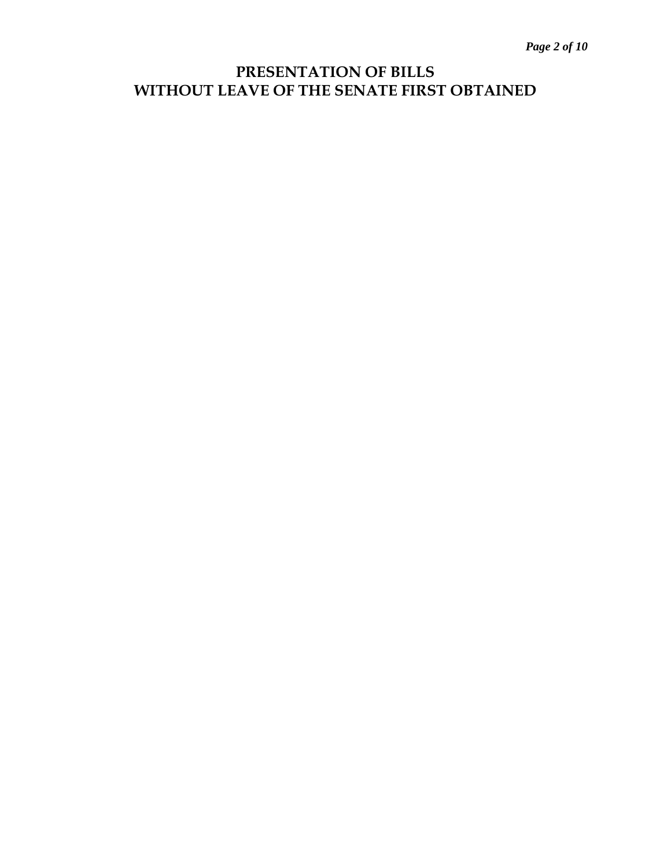# **PRESENTATION OF BILLS WITHOUT LEAVE OF THE SENATE FIRST OBTAINED**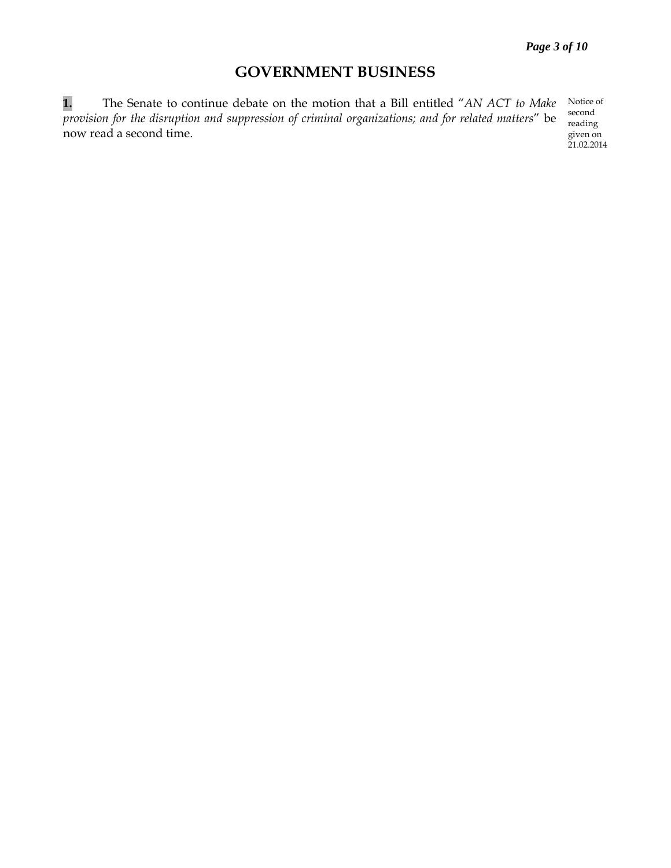# **GOVERNMENT BUSINESS**

**1.** The Senate to continue debate on the motion that a Bill entitled "*AN ACT to Make provision for the disruption and suppression of criminal organizations; and for related matters*" be now read a second time.

Notice of second reading given on 21.02.2014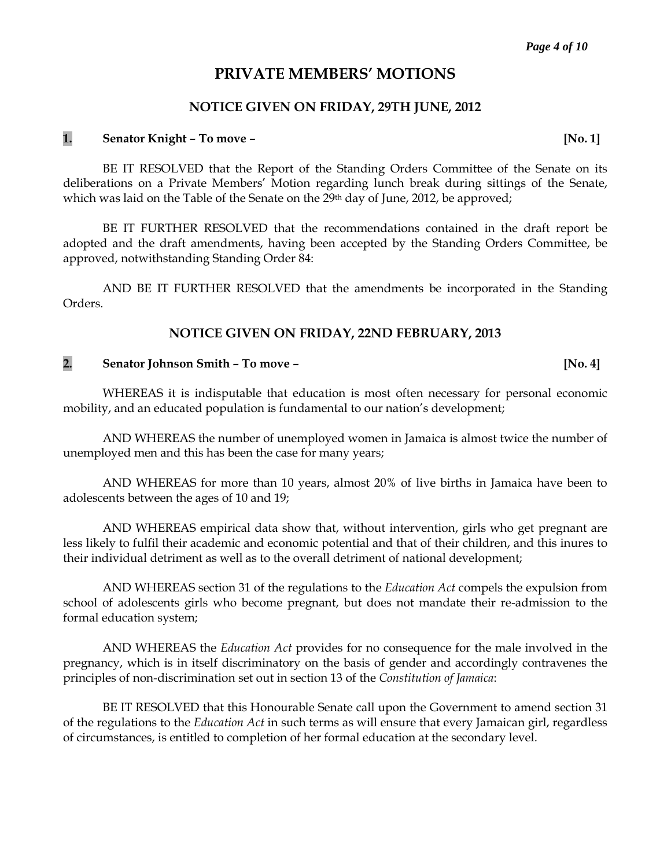## **PRIVATE MEMBERS' MOTIONS**

#### **NOTICE GIVEN ON FRIDAY, 29TH JUNE, 2012**

## **1. Senator Knight – To move – [No. 1]**

BE IT RESOLVED that the Report of the Standing Orders Committee of the Senate on its deliberations on a Private Members' Motion regarding lunch break during sittings of the Senate, which was laid on the Table of the Senate on the 29<sup>th</sup> day of June, 2012, be approved;

BE IT FURTHER RESOLVED that the recommendations contained in the draft report be adopted and the draft amendments, having been accepted by the Standing Orders Committee, be approved, notwithstanding Standing Order 84:

AND BE IT FURTHER RESOLVED that the amendments be incorporated in the Standing Orders.

#### **NOTICE GIVEN ON FRIDAY, 22ND FEBRUARY, 2013**

## **2. Senator Johnson Smith – To move – [No. 4]**

WHEREAS it is indisputable that education is most often necessary for personal economic mobility, and an educated population is fundamental to our nation's development;

AND WHEREAS the number of unemployed women in Jamaica is almost twice the number of unemployed men and this has been the case for many years;

AND WHEREAS for more than 10 years, almost 20% of live births in Jamaica have been to adolescents between the ages of 10 and 19;

AND WHEREAS empirical data show that, without intervention, girls who get pregnant are less likely to fulfil their academic and economic potential and that of their children, and this inures to their individual detriment as well as to the overall detriment of national development;

AND WHEREAS section 31 of the regulations to the *Education Act* compels the expulsion from school of adolescents girls who become pregnant, but does not mandate their re-admission to the formal education system;

AND WHEREAS the *Education Act* provides for no consequence for the male involved in the pregnancy, which is in itself discriminatory on the basis of gender and accordingly contravenes the principles of non-discrimination set out in section 13 of the *Constitution of Jamaica*:

BE IT RESOLVED that this Honourable Senate call upon the Government to amend section 31 of the regulations to the *Education Act* in such terms as will ensure that every Jamaican girl, regardless of circumstances, is entitled to completion of her formal education at the secondary level.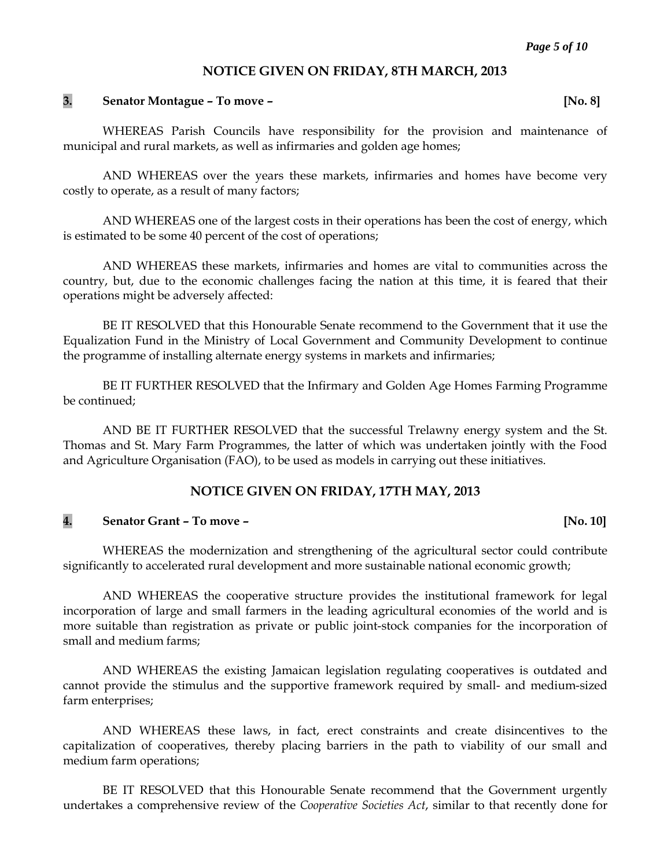#### **NOTICE GIVEN ON FRIDAY, 8TH MARCH, 2013**

#### **3. Senator Montague – To move – [No. 8]**

WHEREAS Parish Councils have responsibility for the provision and maintenance of municipal and rural markets, as well as infirmaries and golden age homes;

AND WHEREAS over the years these markets, infirmaries and homes have become very costly to operate, as a result of many factors;

AND WHEREAS one of the largest costs in their operations has been the cost of energy, which is estimated to be some 40 percent of the cost of operations;

AND WHEREAS these markets, infirmaries and homes are vital to communities across the country, but, due to the economic challenges facing the nation at this time, it is feared that their operations might be adversely affected:

BE IT RESOLVED that this Honourable Senate recommend to the Government that it use the Equalization Fund in the Ministry of Local Government and Community Development to continue the programme of installing alternate energy systems in markets and infirmaries;

BE IT FURTHER RESOLVED that the Infirmary and Golden Age Homes Farming Programme be continued;

AND BE IT FURTHER RESOLVED that the successful Trelawny energy system and the St. Thomas and St. Mary Farm Programmes, the latter of which was undertaken jointly with the Food and Agriculture Organisation (FAO), to be used as models in carrying out these initiatives.

#### **NOTICE GIVEN ON FRIDAY, 17TH MAY, 2013**

## **4. Senator Grant – To move – [No. 10]**

WHEREAS the modernization and strengthening of the agricultural sector could contribute significantly to accelerated rural development and more sustainable national economic growth;

AND WHEREAS the cooperative structure provides the institutional framework for legal incorporation of large and small farmers in the leading agricultural economies of the world and is more suitable than registration as private or public joint-stock companies for the incorporation of small and medium farms;

AND WHEREAS the existing Jamaican legislation regulating cooperatives is outdated and cannot provide the stimulus and the supportive framework required by small- and medium-sized farm enterprises;

AND WHEREAS these laws, in fact, erect constraints and create disincentives to the capitalization of cooperatives, thereby placing barriers in the path to viability of our small and medium farm operations;

BE IT RESOLVED that this Honourable Senate recommend that the Government urgently undertakes a comprehensive review of the *Cooperative Societies Act*, similar to that recently done for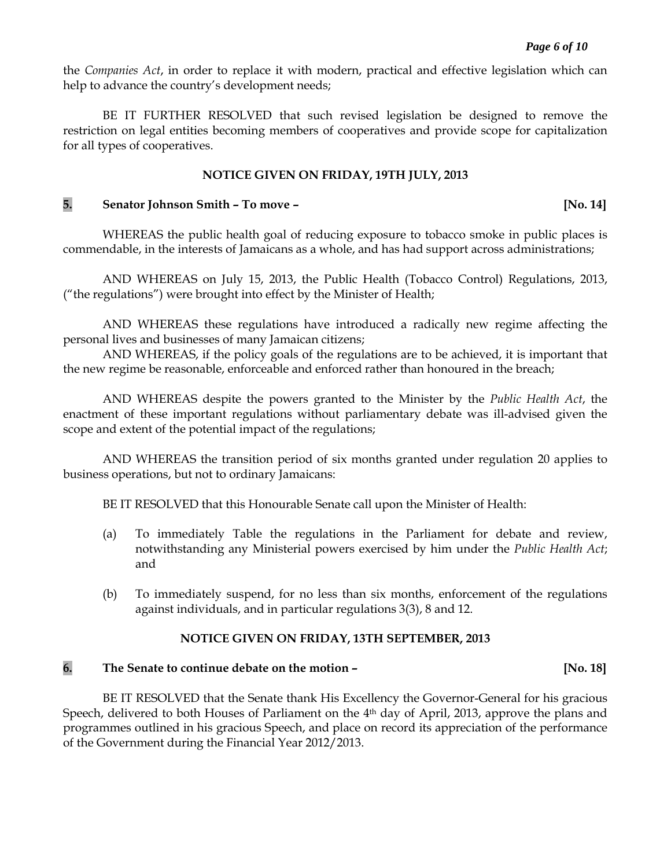the *Companies Act*, in order to replace it with modern, practical and effective legislation which can help to advance the country's development needs;

BE IT FURTHER RESOLVED that such revised legislation be designed to remove the restriction on legal entities becoming members of cooperatives and provide scope for capitalization for all types of cooperatives.

#### **NOTICE GIVEN ON FRIDAY, 19TH JULY, 2013**

#### **5. Senator Johnson Smith – To move – [No. 14]**

WHEREAS the public health goal of reducing exposure to tobacco smoke in public places is commendable, in the interests of Jamaicans as a whole, and has had support across administrations;

AND WHEREAS on July 15, 2013, the Public Health (Tobacco Control) Regulations, 2013, ("the regulations") were brought into effect by the Minister of Health;

AND WHEREAS these regulations have introduced a radically new regime affecting the personal lives and businesses of many Jamaican citizens;

AND WHEREAS, if the policy goals of the regulations are to be achieved, it is important that the new regime be reasonable, enforceable and enforced rather than honoured in the breach;

AND WHEREAS despite the powers granted to the Minister by the *Public Health Act*, the enactment of these important regulations without parliamentary debate was ill-advised given the scope and extent of the potential impact of the regulations;

AND WHEREAS the transition period of six months granted under regulation 20 applies to business operations, but not to ordinary Jamaicans:

BE IT RESOLVED that this Honourable Senate call upon the Minister of Health:

- (a) To immediately Table the regulations in the Parliament for debate and review, notwithstanding any Ministerial powers exercised by him under the *Public Health Act*; and
- (b) To immediately suspend, for no less than six months, enforcement of the regulations against individuals, and in particular regulations 3(3), 8 and 12.

#### **NOTICE GIVEN ON FRIDAY, 13TH SEPTEMBER, 2013**

#### **6. The Senate to continue debate on the motion – [No. 18]**

BE IT RESOLVED that the Senate thank His Excellency the Governor-General for his gracious Speech, delivered to both Houses of Parliament on the 4<sup>th</sup> day of April, 2013, approve the plans and programmes outlined in his gracious Speech, and place on record its appreciation of the performance of the Government during the Financial Year 2012/2013.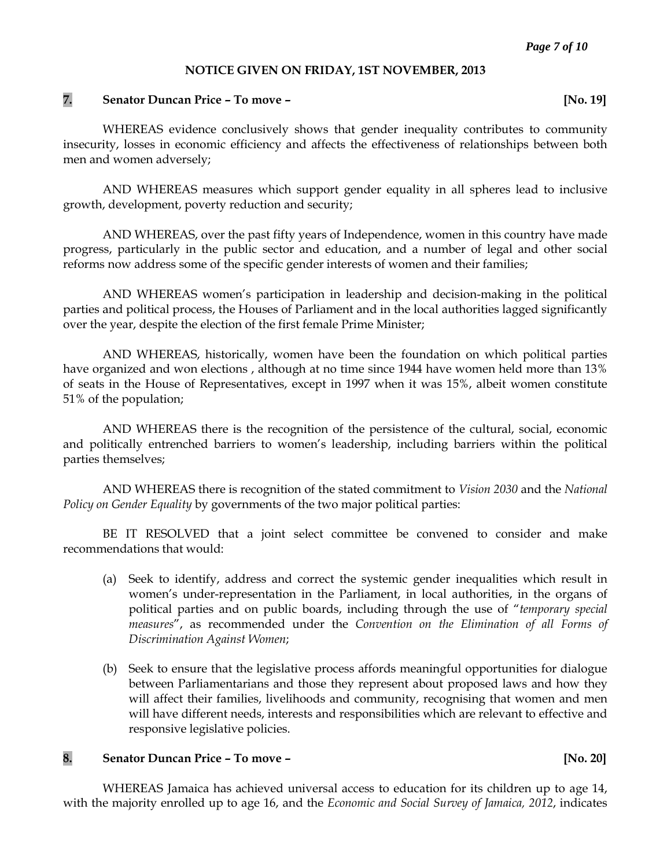#### **NOTICE GIVEN ON FRIDAY, 1ST NOVEMBER, 2013**

#### **7. Senator Duncan Price – To move – [No. 19]**

WHEREAS evidence conclusively shows that gender inequality contributes to community insecurity, losses in economic efficiency and affects the effectiveness of relationships between both men and women adversely;

AND WHEREAS measures which support gender equality in all spheres lead to inclusive growth, development, poverty reduction and security;

AND WHEREAS, over the past fifty years of Independence, women in this country have made progress, particularly in the public sector and education, and a number of legal and other social reforms now address some of the specific gender interests of women and their families;

AND WHEREAS women's participation in leadership and decision-making in the political parties and political process, the Houses of Parliament and in the local authorities lagged significantly over the year, despite the election of the first female Prime Minister;

AND WHEREAS, historically, women have been the foundation on which political parties have organized and won elections , although at no time since 1944 have women held more than 13% of seats in the House of Representatives, except in 1997 when it was 15%, albeit women constitute 51% of the population;

AND WHEREAS there is the recognition of the persistence of the cultural, social, economic and politically entrenched barriers to women's leadership, including barriers within the political parties themselves;

AND WHEREAS there is recognition of the stated commitment to *Vision 2030* and the *National Policy on Gender Equality* by governments of the two major political parties:

BE IT RESOLVED that a joint select committee be convened to consider and make recommendations that would:

- (a) Seek to identify, address and correct the systemic gender inequalities which result in women's under-representation in the Parliament, in local authorities, in the organs of political parties and on public boards, including through the use of "*temporary special measures*", as recommended under the *Convention on the Elimination of all Forms of Discrimination Against Women*;
- (b) Seek to ensure that the legislative process affords meaningful opportunities for dialogue between Parliamentarians and those they represent about proposed laws and how they will affect their families, livelihoods and community, recognising that women and men will have different needs, interests and responsibilities which are relevant to effective and responsive legislative policies.

#### **8. Senator Duncan Price – To move – [No. 20]**

WHEREAS Jamaica has achieved universal access to education for its children up to age 14, with the majority enrolled up to age 16, and the *Economic and Social Survey of Jamaica, 2012*, indicates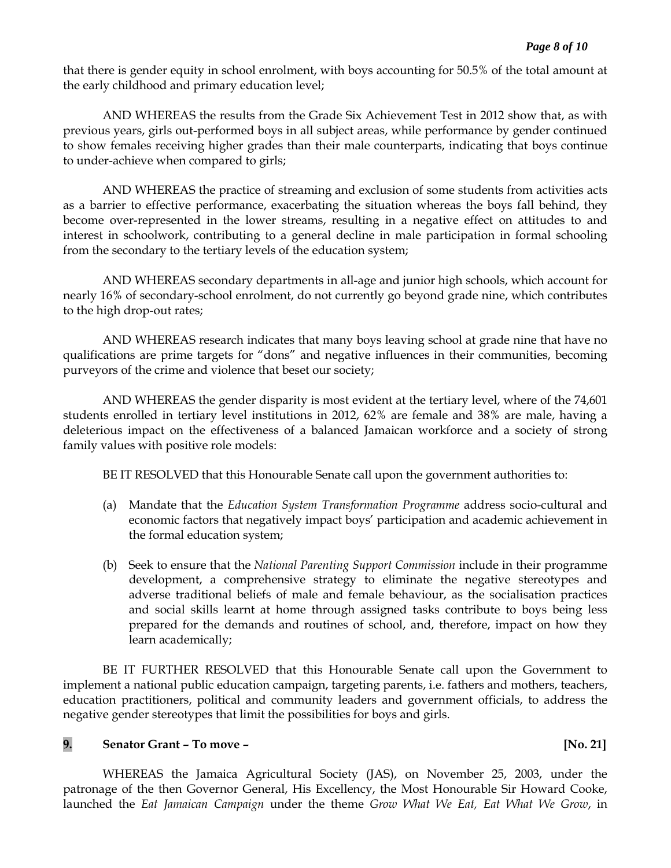that there is gender equity in school enrolment, with boys accounting for 50.5% of the total amount at the early childhood and primary education level;

AND WHEREAS the results from the Grade Six Achievement Test in 2012 show that, as with previous years, girls out-performed boys in all subject areas, while performance by gender continued to show females receiving higher grades than their male counterparts, indicating that boys continue to under-achieve when compared to girls;

AND WHEREAS the practice of streaming and exclusion of some students from activities acts as a barrier to effective performance, exacerbating the situation whereas the boys fall behind, they become over-represented in the lower streams, resulting in a negative effect on attitudes to and interest in schoolwork, contributing to a general decline in male participation in formal schooling from the secondary to the tertiary levels of the education system;

AND WHEREAS secondary departments in all-age and junior high schools, which account for nearly 16% of secondary-school enrolment, do not currently go beyond grade nine, which contributes to the high drop-out rates;

AND WHEREAS research indicates that many boys leaving school at grade nine that have no qualifications are prime targets for "dons" and negative influences in their communities, becoming purveyors of the crime and violence that beset our society;

AND WHEREAS the gender disparity is most evident at the tertiary level, where of the 74,601 students enrolled in tertiary level institutions in 2012, 62% are female and 38% are male, having a deleterious impact on the effectiveness of a balanced Jamaican workforce and a society of strong family values with positive role models:

BE IT RESOLVED that this Honourable Senate call upon the government authorities to:

- (a) Mandate that the *Education System Transformation Programme* address socio-cultural and economic factors that negatively impact boys' participation and academic achievement in the formal education system;
- (b) Seek to ensure that the *National Parenting Support Commission* include in their programme development, a comprehensive strategy to eliminate the negative stereotypes and adverse traditional beliefs of male and female behaviour, as the socialisation practices and social skills learnt at home through assigned tasks contribute to boys being less prepared for the demands and routines of school, and, therefore, impact on how they learn academically;

BE IT FURTHER RESOLVED that this Honourable Senate call upon the Government to implement a national public education campaign, targeting parents, i.e. fathers and mothers, teachers, education practitioners, political and community leaders and government officials, to address the negative gender stereotypes that limit the possibilities for boys and girls.

## **9. Senator Grant – To move – [No. 21]**

WHEREAS the Jamaica Agricultural Society (JAS), on November 25, 2003, under the patronage of the then Governor General, His Excellency, the Most Honourable Sir Howard Cooke, launched the *Eat Jamaican Campaign* under the theme *Grow What We Eat, Eat What We Grow*, in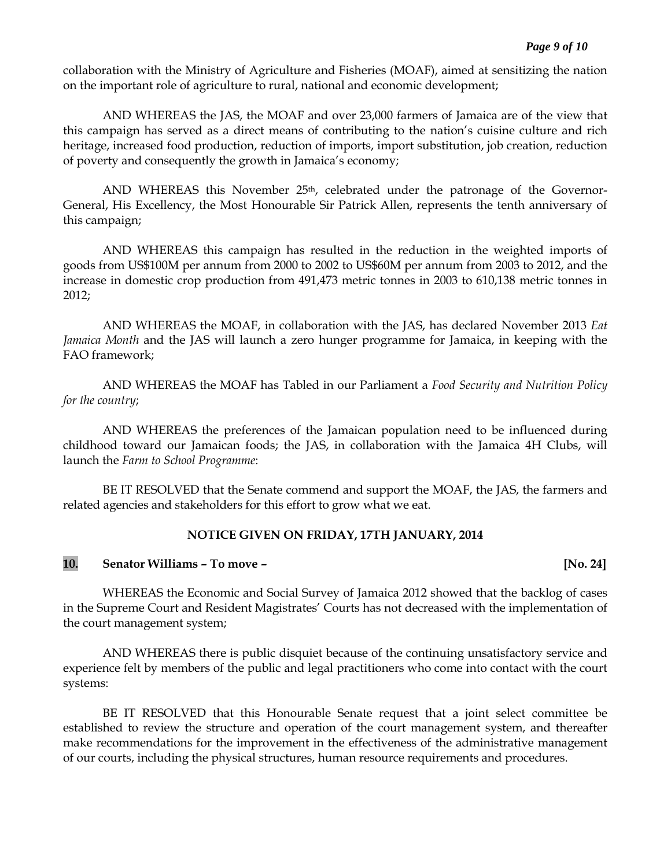collaboration with the Ministry of Agriculture and Fisheries (MOAF), aimed at sensitizing the nation on the important role of agriculture to rural, national and economic development;

AND WHEREAS the JAS, the MOAF and over 23,000 farmers of Jamaica are of the view that this campaign has served as a direct means of contributing to the nation's cuisine culture and rich heritage, increased food production, reduction of imports, import substitution, job creation, reduction of poverty and consequently the growth in Jamaica's economy;

AND WHEREAS this November  $25<sup>th</sup>$ , celebrated under the patronage of the Governor-General, His Excellency, the Most Honourable Sir Patrick Allen, represents the tenth anniversary of this campaign;

AND WHEREAS this campaign has resulted in the reduction in the weighted imports of goods from US\$100M per annum from 2000 to 2002 to US\$60M per annum from 2003 to 2012, and the increase in domestic crop production from 491,473 metric tonnes in 2003 to 610,138 metric tonnes in 2012;

AND WHEREAS the MOAF, in collaboration with the JAS, has declared November 2013 *Eat Jamaica Month* and the JAS will launch a zero hunger programme for Jamaica, in keeping with the FAO framework;

AND WHEREAS the MOAF has Tabled in our Parliament a *Food Security and Nutrition Policy for the country*;

AND WHEREAS the preferences of the Jamaican population need to be influenced during childhood toward our Jamaican foods; the JAS, in collaboration with the Jamaica 4H Clubs, will launch the *Farm to School Programme*:

BE IT RESOLVED that the Senate commend and support the MOAF, the JAS, the farmers and related agencies and stakeholders for this effort to grow what we eat.

#### **NOTICE GIVEN ON FRIDAY, 17TH JANUARY, 2014**

## **10. Senator Williams – To move – [No. 24]**

WHEREAS the Economic and Social Survey of Jamaica 2012 showed that the backlog of cases in the Supreme Court and Resident Magistrates' Courts has not decreased with the implementation of the court management system;

AND WHEREAS there is public disquiet because of the continuing unsatisfactory service and experience felt by members of the public and legal practitioners who come into contact with the court systems:

BE IT RESOLVED that this Honourable Senate request that a joint select committee be established to review the structure and operation of the court management system, and thereafter make recommendations for the improvement in the effectiveness of the administrative management of our courts, including the physical structures, human resource requirements and procedures.